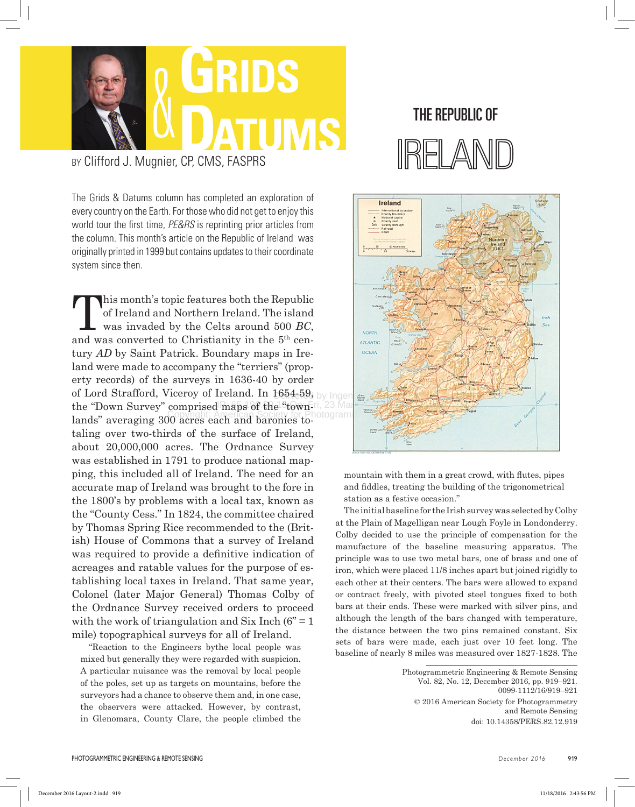

by Clifford J. Mugnier, CP, CMS, FASPRS

The Grids & Datums column has completed an exploration of every country on the Earth. For those who did not get to enjoy this world tour the first time, *PE&RS* is reprinting prior articles from the column. This month's article on the Republic of Ireland was originally printed in 1999 but contains updates to their coordinate system since then.

of Lord Strafford, Viceroy of Ireland. In 1654-59, by Ingen the "Down Survey" comprised maps of the "town-ri, 23 Mar 2018 Lands" averaging 300 acres each and baronies to-This month's topic features both the Republic of Ireland and Northern Ireland. The island was invaded by the Celts around 500 *BC*, of Ireland and Northern Ireland. The island and was converted to Christianity in the 5th century *AD* by Saint Patrick. Boundary maps in Ireland were made to accompany the "terriers" (property records) of the surveys in 1636-40 by order taling over two-thirds of the surface of Ireland, about 20,000,000 acres. The Ordnance Survey was established in 1791 to produce national mapping, this included all of Ireland. The need for an accurate map of Ireland was brought to the fore in the 1800's by problems with a local tax, known as the "County Cess." In 1824, the committee chaired by Thomas Spring Rice recommended to the (British) House of Commons that a survey of Ireland was required to provide a definitive indication of acreages and ratable values for the purpose of establishing local taxes in Ireland. That same year, Colonel (later Major General) Thomas Colby of the Ordnance Survey received orders to proceed with the work of triangulation and Six Inch  $(6^{\degree} = 1)$ mile) topographical surveys for all of Ireland.

"Reaction to the Engineers bythe local people was mixed but generally they were regarded with suspicion. A particular nuisance was the removal by local people of the poles, set up as targets on mountains, before the surveyors had a chance to observe them and, in one case, the observers were attacked. However, by contrast, in Glenomara, County Clare, the people climbed the

## The Republic of



mountain with them in a great crowd, with flutes, pipes and fiddles, treating the building of the trigonometrical station as a festive occasion."

The initial baseline for the Irish survey was selected by Colby at the Plain of Magelligan near Lough Foyle in Londonderry. Colby decided to use the principle of compensation for the manufacture of the baseline measuring apparatus. The principle was to use two metal bars, one of brass and one of iron, which were placed 11/8 inches apart but joined rigidly to each other at their centers. The bars were allowed to expand or contract freely, with pivoted steel tongues fixed to both bars at their ends. These were marked with silver pins, and although the length of the bars changed with temperature, the distance between the two pins remained constant. Six sets of bars were made, each just over 10 feet long. The baseline of nearly 8 miles was measured over 1827-1828. The

> Photogrammetric Engineering & Remote Sensing Vol. 82, No. 12, December 2016, pp. 919–921. 0099-1112/16/919–921 © 2016 American Society for Photogrammetry and Remote Sensing doi: 10.14358/PERS.82.12.919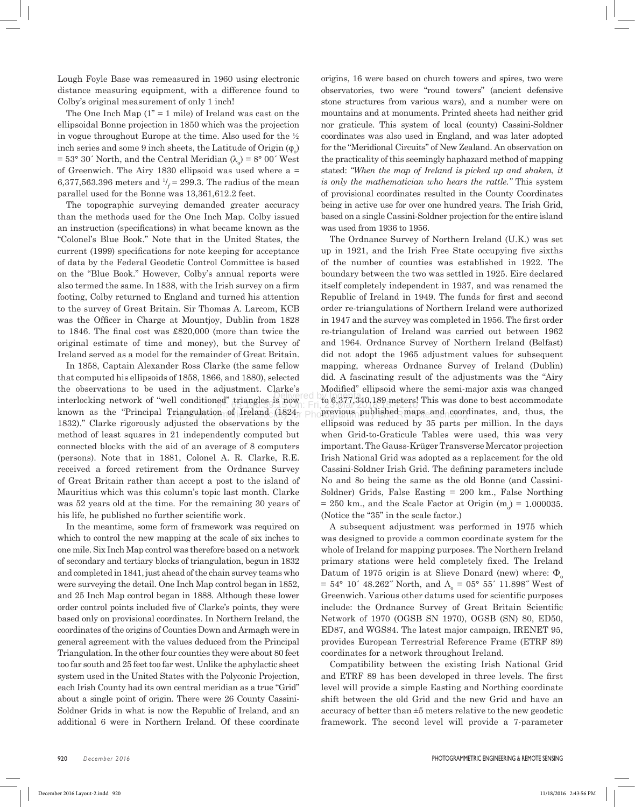The One Inch Map  $(1)$ <sup>"</sup> = 1 mile) of Ireland was cast on the ellipsoidal Bonne projection in 1850 which was the projection in vogue throughout Europe at the time. Also used for the ½ inch series and some 9 inch sheets, the Latitude of Origin  $(\varphi_{o})$  $= 53^{\circ}$  30´ North, and the Central Meridian ( $\lambda$ <sub>o</sub>) = 8° 00´ West of Greenwich. The Airy 1830 ellipsoid was used where a = 6,377,563.396 meters and  $1/2 = 299.3$ . The radius of the mean parallel used for the Bonne was 13,361,612.2 feet.

The topographic surveying demanded greater accuracy than the methods used for the One Inch Map. Colby issued an instruction (specifications) in what became known as the "Colonel's Blue Book." Note that in the United States, the current (1999) specifications for note keeping for acceptance of data by the Federal Geodetic Control Committee is based on the "Blue Book." However, Colby's annual reports were also termed the same. In 1838, with the Irish survey on a firm footing, Colby returned to England and turned his attention to the survey of Great Britain. Sir Thomas A. Larcom, KCB was the Officer in Charge at Mountjoy, Dublin from 1828 to 1846. The final cost was £820,000 (more than twice the original estimate of time and money), but the Survey of Ireland served as a model for the remainder of Great Britain.

In 1858, Captain Alexander Ross Clarke (the same fellow that computed his ellipsoids of 1858, 1866, and 1880), selected the observations to be used in the adjustment. Clarke's interlocking network of "well conditioned" triangles is now known as the "Principal Triangulation of Ireland (1824- 1832)." Clarke rigorously adjusted the observations by the method of least squares in 21 independently computed but connected blocks with the aid of an average of 8 computers (persons). Note that in 1881, Colonel A. R. Clarke, R.E. received a forced retirement from the Ordnance Survey of Great Britain rather than accept a post to the island of Mauritius which was this column's topic last month. Clarke was 52 years old at the time. For the remaining 30 years of his life, he published no further scientific work.

In the meantime, some form of framework was required on which to control the new mapping at the scale of six inches to one mile. Six Inch Map control was therefore based on a network of secondary and tertiary blocks of triangulation, begun in 1832 and completed in 1841, just ahead of the chain survey teams who were surveying the detail. One Inch Map control began in 1852, and 25 Inch Map control began in 1888. Although these lower order control points included five of Clarke's points, they were based only on provisional coordinates. In Northern Ireland, the coordinates of the origins of Counties Down and Armagh were in general agreement with the values deduced from the Principal Triangulation. In the other four counties they were about 80 feet too far south and 25 feet too far west. Unlike the aphylactic sheet system used in the United States with the Polyconic Projection, each Irish County had its own central meridian as a true "Grid" about a single point of origin. There were 26 County Cassini-Soldner Grids in what is now the Republic of Ireland, and an additional 6 were in Northern Ireland. Of these coordinate

origins, 16 were based on church towers and spires, two were observatories, two were "round towers" (ancient defensive stone structures from various wars), and a number were on mountains and at monuments. Printed sheets had neither grid nor graticule. This system of local (county) Cassini-Soldner coordinates was also used in England, and was later adopted for the "Meridional Circuits" of New Zealand. An observation on the practicality of this seemingly haphazard method of mapping stated: *"When the map of Ireland is picked up and shaken, it is only the mathematician who hears the rattle."* This system of provisional coordinates resulted in the County Coordinates being in active use for over one hundred years. The Irish Grid, based on a single Cassini-Soldner projection for the entire island was used from 1936 to 1956.

Delivered by Ingenta to 6,377,340.189 meters! This was done to best accommodate **EQ. LETANGELIS IS NOW.** Fri, 23 Mar 2018 15:42:10  $Triangulation of [Ireland (1824]  $\rho$  |hoprepious published maps and coordinates, and, thus, the$ The Ordnance Survey of Northern Ireland (U.K.) was set up in 1921, and the Irish Free State occupying five sixths of the number of counties was established in 1922. The boundary between the two was settled in 1925. Eire declared itself completely independent in 1937, and was renamed the Republic of Ireland in 1949. The funds for first and second order re-triangulations of Northern Ireland were authorized in 1947 and the survey was completed in 1956. The first order re-triangulation of Ireland was carried out between 1962 and 1964. Ordnance Survey of Northern Ireland (Belfast) did not adopt the 1965 adjustment values for subsequent mapping, whereas Ordnance Survey of Ireland (Dublin) did. A fascinating result of the adjustments was the "Airy Modified" ellipsoid where the semi-major axis was changed ellipsoid was reduced by 35 parts per million. In the days when Grid-to-Graticule Tables were used, this was very important. The Gauss-Krüger Transverse Mercator projection Irish National Grid was adopted as a replacement for the old Cassini-Soldner Irish Grid. The defining parameters include No and 8o being the same as the old Bonne (and Cassini-Soldner) Grids, False Easting = 200 km., False Northing  $= 250$  km., and the Scale Factor at Origin (m<sub>o</sub>)  $= 1.000035$ . (Notice the "35" in the scale factor.)

> A subsequent adjustment was performed in 1975 which was designed to provide a common coordinate system for the whole of Ireland for mapping purposes. The Northern Ireland primary stations were held completely fixed. The Ireland Datum of 1975 origin is at Slieve Donard (new) where:  $\Phi$ .  $= 54^{\circ}$  10′ 48.262″ North, and  $\Lambda_{0} = 05^{\circ}$  55′ 11.898″ West of Greenwich. Various other datums used for scientific purposes include: the Ordnance Survey of Great Britain Scientific Network of 1970 (OGSB SN 1970), OGSB (SN) 80, ED50, ED87, and WGS84. The latest major campaign, IRENET 95, provides European Terrestrial Reference Frame (ETRF 89) coordinates for a network throughout Ireland.

> Compatibility between the existing Irish National Grid and ETRF 89 has been developed in three levels. The first level will provide a simple Easting and Northing coordinate shift between the old Grid and the new Grid and have an accuracy of better than ±5 meters relative to the new geodetic framework. The second level will provide a 7-parameter